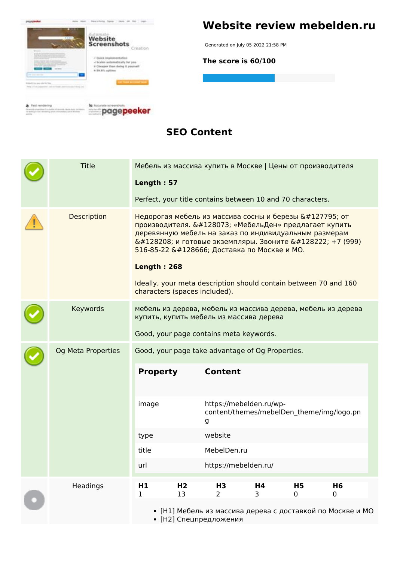

#### **Website review mebelden.ru**

Generated on July 05 2022 21:58 PM

**The score is 60/100**

**SEO Content**

|  | <b>Title</b>       | Length: 57                                                                                                                                                                                                                                                                                                                                                                  |                      | Мебель из массива купить в Москве   Цены от производителя<br>Perfect, your title contains between 10 and 70 characters. |         |                     |                                                                                   |  |
|--|--------------------|-----------------------------------------------------------------------------------------------------------------------------------------------------------------------------------------------------------------------------------------------------------------------------------------------------------------------------------------------------------------------------|----------------------|-------------------------------------------------------------------------------------------------------------------------|---------|---------------------|-----------------------------------------------------------------------------------|--|
|  | <b>Description</b> | Недорогая мебель из массива сосны и березы 🌳 от<br>производителя. 👉 «МебельДен» предлагает купить<br>деревянную мебель на заказ по индивидуальным размерам<br>📐 и готовые экземпляры. Звоните 📞 +7 (999)<br>516-85-22 🚚 Доставка по Москве и МО.<br><b>Length: 268</b><br>Ideally, your meta description should contain between 70 and 160<br>characters (spaces included). |                      |                                                                                                                         |         |                     |                                                                                   |  |
|  | Keywords           |                                                                                                                                                                                                                                                                                                                                                                             |                      | купить, купить мебель из массива дерева<br>Good, your page contains meta keywords.                                      |         |                     | мебель из дерева, мебель из массива дерева, мебель из дерева                      |  |
|  | Og Meta Properties |                                                                                                                                                                                                                                                                                                                                                                             |                      | Good, your page take advantage of Og Properties.                                                                        |         |                     |                                                                                   |  |
|  |                    | <b>Property</b>                                                                                                                                                                                                                                                                                                                                                             |                      | <b>Content</b>                                                                                                          |         |                     |                                                                                   |  |
|  |                    | image                                                                                                                                                                                                                                                                                                                                                                       |                      | https://mebelden.ru/wp-<br>g                                                                                            |         |                     | content/themes/mebelDen_theme/img/logo.pn                                         |  |
|  |                    | type                                                                                                                                                                                                                                                                                                                                                                        |                      | website                                                                                                                 |         |                     |                                                                                   |  |
|  |                    | title                                                                                                                                                                                                                                                                                                                                                                       |                      | MebelDen.ru                                                                                                             |         |                     |                                                                                   |  |
|  |                    | url                                                                                                                                                                                                                                                                                                                                                                         |                      | https://mebelden.ru/                                                                                                    |         |                     |                                                                                   |  |
|  | Headings           | H1<br>1                                                                                                                                                                                                                                                                                                                                                                     | H <sub>2</sub><br>13 | H <sub>3</sub><br>2<br>• [Н2] Спецпредложения                                                                           | H4<br>3 | H <sub>5</sub><br>0 | H <sub>6</sub><br>0<br>• [Н1] Мебель из массива дерева с доставкой по Москве и МО |  |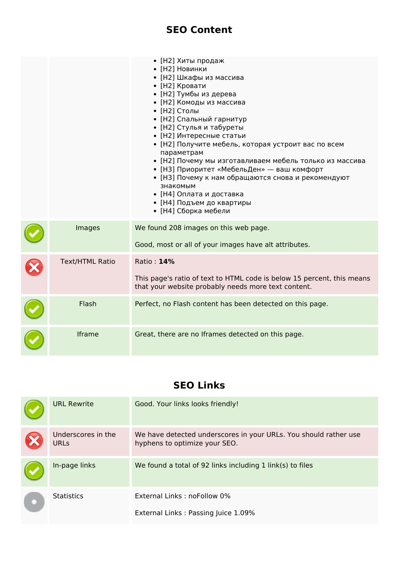#### **SEO Content**

|                        | • [Н2] Хиты продаж<br>• [Н2] Новинки<br>• [Н2] Шкафы из массива<br>• [Н2] Кровати<br>• [Н2] Тумбы из дерева<br>• [Н2] Комоды из массива<br>• [Н2] Столы<br>• [Н2] Спальный гарнитур<br>• [Н2] Стулья и табуреты<br>• [Н2] Интересные статьи<br>• [Н2] Получите мебель, которая устроит вас по всем<br>параметрам<br>• [Н2] Почему мы изготавливаем мебель только из массива<br>• [НЗ] Приоритет «МебельДен» — ваш комфорт<br>• [НЗ] Почему к нам обращаются снова и рекомендуют<br>знакомым<br>• [Н4] Оплата и доставка<br>• [Н4] Подъем до квартиры<br>• [Н4] Сборка мебели |
|------------------------|------------------------------------------------------------------------------------------------------------------------------------------------------------------------------------------------------------------------------------------------------------------------------------------------------------------------------------------------------------------------------------------------------------------------------------------------------------------------------------------------------------------------------------------------------------------------------|
| Images                 | We found 208 images on this web page.<br>Good, most or all of your images have alt attributes.                                                                                                                                                                                                                                                                                                                                                                                                                                                                               |
| <b>Text/HTML Ratio</b> | Ratio: 14%<br>This page's ratio of text to HTML code is below 15 percent, this means<br>that your website probably needs more text content.                                                                                                                                                                                                                                                                                                                                                                                                                                  |
| Flash                  | Perfect, no Flash content has been detected on this page.                                                                                                                                                                                                                                                                                                                                                                                                                                                                                                                    |
| Iframe                 | Great, there are no Iframes detected on this page.                                                                                                                                                                                                                                                                                                                                                                                                                                                                                                                           |

#### **SEO Links**

| <b>URL Rewrite</b>                | Good. Your links looks friendly!                                                                  |
|-----------------------------------|---------------------------------------------------------------------------------------------------|
| Underscores in the<br><b>URLs</b> | We have detected underscores in your URLs. You should rather use<br>hyphens to optimize your SEO. |
| In-page links                     | We found a total of 92 links including 1 link(s) to files                                         |
| <b>Statistics</b>                 | External Links: noFollow 0%<br>External Links: Passing Juice 1.09%                                |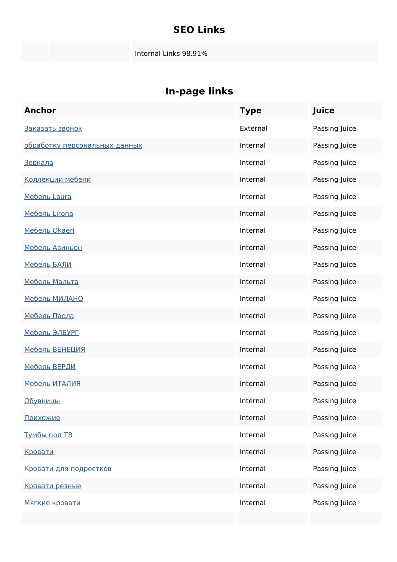#### **SEO Links**

Internal Links 98.91%

## **In-page links**

| <b>Anchor</b>                 | <b>Type</b> | Juice         |
|-------------------------------|-------------|---------------|
| Заказать звонок               | External    | Passing Juice |
| обработку персональных данных | Internal    | Passing Juice |
| <u>Зеркала</u>                | Internal    | Passing Juice |
| Коллекции мебели              | Internal    | Passing Juice |
| Мебель Laura                  | Internal    | Passing Juice |
| Мебель Lirona                 | Internal    | Passing Juice |
| Мебель Okaeri                 | Internal    | Passing Juice |
| Мебель Авиньон                | Internal    | Passing Juice |
| <u>Мебель БАЛИ</u>            | Internal    | Passing Juice |
| Мебель Мальта                 | Internal    | Passing Juice |
| Мебель МИЛАНО                 | Internal    | Passing Juice |
| Мебель Паола                  | Internal    | Passing Juice |
| Мебель ЭЛБУРГ                 | Internal    | Passing Juice |
| <u>Мебель ВЕНЕЦИЯ</u>         | Internal    | Passing Juice |
| <u>Мебель ВЕРДИ</u>           | Internal    | Passing Juice |
| <u>Мебель ИТАЛИЯ</u>          | Internal    | Passing Juice |
| <u>Обувницы</u>               | Internal    | Passing Juice |
| Прихожие                      | Internal    | Passing Juice |
| <u>Тумбы под ТВ</u>           | Internal    | Passing Juice |
| Кровати                       | Internal    | Passing Juice |
| Кровати для подростков        | Internal    | Passing Juice |
| Кровати резные                | Internal    | Passing Juice |
| Мягкие кровати                | Internal    | Passing Juice |
|                               |             |               |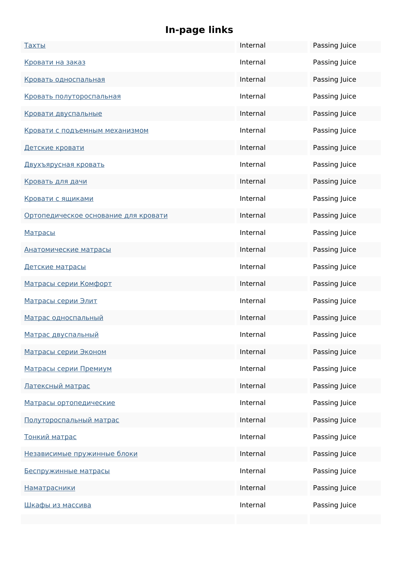## **In-page links**

| <u>Тахты</u>                         | Internal | Passing Juice |
|--------------------------------------|----------|---------------|
| Кровати на заказ                     | Internal | Passing Juice |
| Кровать односпальная                 | Internal | Passing Juice |
| Кровать полутороспальная             | Internal | Passing Juice |
| Кровати двуспальные                  | Internal | Passing Juice |
| Кровати с подъемным механизмом       | Internal | Passing Juice |
| Детские кровати                      | Internal | Passing Juice |
| <u>Двухъярусная кровать</u>          | Internal | Passing Juice |
| Кровать для дачи                     | Internal | Passing Juice |
| Кровати с ящиками                    | Internal | Passing Juice |
| Ортопедическое основание для кровати | Internal | Passing Juice |
| <b>Матрасы</b>                       | Internal | Passing Juice |
| <u>Анатомические матрасы</u>         | Internal | Passing Juice |
| Детские матрасы                      | Internal | Passing Juice |
| Матрасы серии Комфорт                | Internal | Passing Juice |
| Матрасы серии Элит                   | Internal | Passing Juice |
| Матрас односпальный                  | Internal | Passing Juice |
| Матрас двуспальный                   | Internal | Passing Juice |
| Матрасы серии Эконом                 | Internal | Passing Juice |
| Матрасы серии Премиум                | Internal | Passing Juice |
| Латексный матрас                     | Internal | Passing Juice |
| Матрасы ортопедические               | Internal | Passing Juice |
| Полутороспальный матрас              | Internal | Passing Juice |
| Тонкий матрас                        | Internal | Passing Juice |
| Независимые пружинные блоки          | Internal | Passing Juice |
| Беспружинные матрасы                 | Internal | Passing Juice |
| <u>Наматрасники</u>                  | Internal | Passing Juice |
| Шкафы из массива                     | Internal | Passing Juice |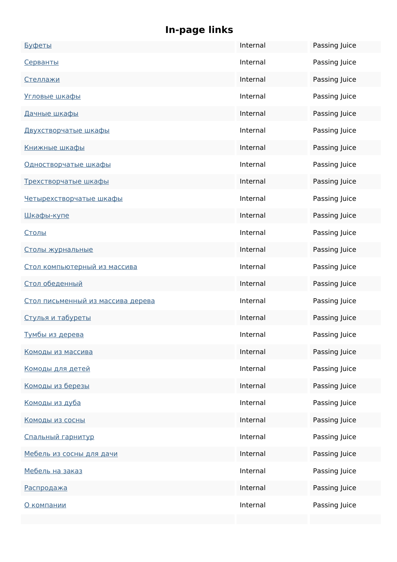## **In-page links**

| Буфеты                            | Internal | Passing Juice |
|-----------------------------------|----------|---------------|
| Серванты                          | Internal | Passing Juice |
| <u>Стеллажи</u>                   | Internal | Passing Juice |
| Угловые шкафы                     | Internal | Passing Juice |
| Дачные шкафы                      | Internal | Passing Juice |
| Двухстворчатые шкафы              | Internal | Passing Juice |
| <u>Книжные шкафы</u>              | Internal | Passing Juice |
| Одностворчатые шкафы              | Internal | Passing Juice |
| Трехстворчатые шкафы              | Internal | Passing Juice |
| Четырехстворчатые шкафы           | Internal | Passing Juice |
| Шкафы-купе                        | Internal | Passing Juice |
| Столы                             | Internal | Passing Juice |
| Столы журнальные                  | Internal | Passing Juice |
| Стол компьютерный из массива      | Internal | Passing Juice |
| Стол обеденный                    | Internal | Passing Juice |
| Стол письменный из массива дерева | Internal | Passing Juice |
| Стулья и табуреты                 | Internal | Passing Juice |
| Тумбы из дерева                   | Internal | Passing Juice |
| Комоды из массива                 | Internal | Passing Juice |
| <u>Комоды для детей</u>           | Internal | Passing Juice |
| Комоды из березы                  | Internal | Passing Juice |
| Комоды из дуба                    | Internal | Passing Juice |
| Комоды из сосны                   | Internal | Passing Juice |
| Спальный гарнитур                 | Internal | Passing Juice |
| Мебель из сосны для дачи          | Internal | Passing Juice |
| Мебель на заказ                   | Internal | Passing Juice |
| Распродажа                        | Internal | Passing Juice |
| О компании                        | Internal | Passing Juice |
|                                   |          |               |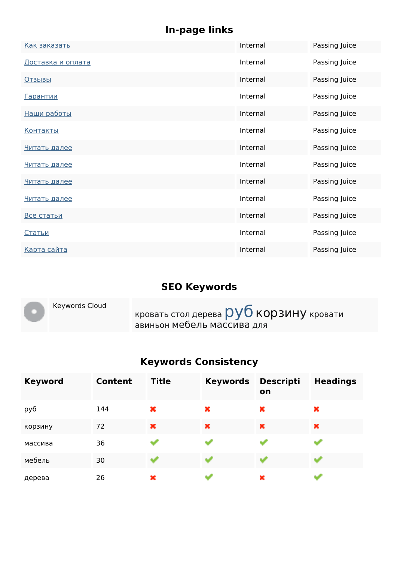## **In-page links**

| Как заказать             | Internal | Passing Juice |
|--------------------------|----------|---------------|
| <u>Доставка и оплата</u> | Internal | Passing Juice |
| <b>Отзывы</b>            | Internal | Passing Juice |
| <u>Гарантии</u>          | Internal | Passing Juice |
| Наши работы              | Internal | Passing Juice |
| <u>Контакты</u>          | Internal | Passing Juice |
| Читать далее             | Internal | Passing Juice |
| Читать далее             | Internal | Passing Juice |
| Читать далее             | Internal | Passing Juice |
| Читать далее             | Internal | Passing Juice |
| Все статьи               | Internal | Passing Juice |
| <u>Статьи</u>            | Internal | Passing Juice |
| Карта сайта              | Internal | Passing Juice |

#### **SEO Keywords**

| Keywords Cloud | кровать стол дерева $\overline{\text{py6}}$ КОРЗИНУ кровати<br>авиньон мебель массива для |
|----------------|-------------------------------------------------------------------------------------------|
|----------------|-------------------------------------------------------------------------------------------|

## **Keywords Consistency**

| <b>Keyword</b> | Content | <b>Title</b> | <b>Keywords</b> | <b>Descripti</b><br>on | <b>Headings</b> |
|----------------|---------|--------------|-----------------|------------------------|-----------------|
| руб            | 144     | ×            | ×               | ×                      | ×               |
| корзину        | 72      | ×            | ×               | ×                      | ×               |
| массива        | 36      | التجر        | وبالمنا         |                        |                 |
| мебель         | 30      | <b>SUP</b>   |                 |                        |                 |
| дерева         | 26      | ×            |                 | ×                      |                 |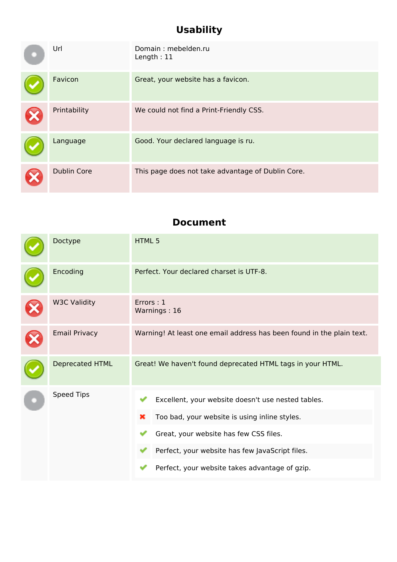## **Usability**

| Url                | Domain: mebelden.ru<br>Length: $11$               |
|--------------------|---------------------------------------------------|
| Favicon            | Great, your website has a favicon.                |
| Printability       | We could not find a Print-Friendly CSS.           |
| Language           | Good. Your declared language is ru.               |
| <b>Dublin Core</b> | This page does not take advantage of Dublin Core. |

#### **Document**

| Doctype                | HTML <sub>5</sub>                                                                                                                                                                                                                                       |  |  |
|------------------------|---------------------------------------------------------------------------------------------------------------------------------------------------------------------------------------------------------------------------------------------------------|--|--|
| Encoding               | Perfect. Your declared charset is UTF-8.                                                                                                                                                                                                                |  |  |
| <b>W3C Validity</b>    | Errors: 1<br>Warnings: 16                                                                                                                                                                                                                               |  |  |
| <b>Email Privacy</b>   | Warning! At least one email address has been found in the plain text.                                                                                                                                                                                   |  |  |
| <b>Deprecated HTML</b> | Great! We haven't found deprecated HTML tags in your HTML.                                                                                                                                                                                              |  |  |
| <b>Speed Tips</b>      | Excellent, your website doesn't use nested tables.<br>Too bad, your website is using inline styles.<br>×<br>Great, your website has few CSS files.<br>Perfect, your website has few JavaScript files.<br>Perfect, your website takes advantage of gzip. |  |  |